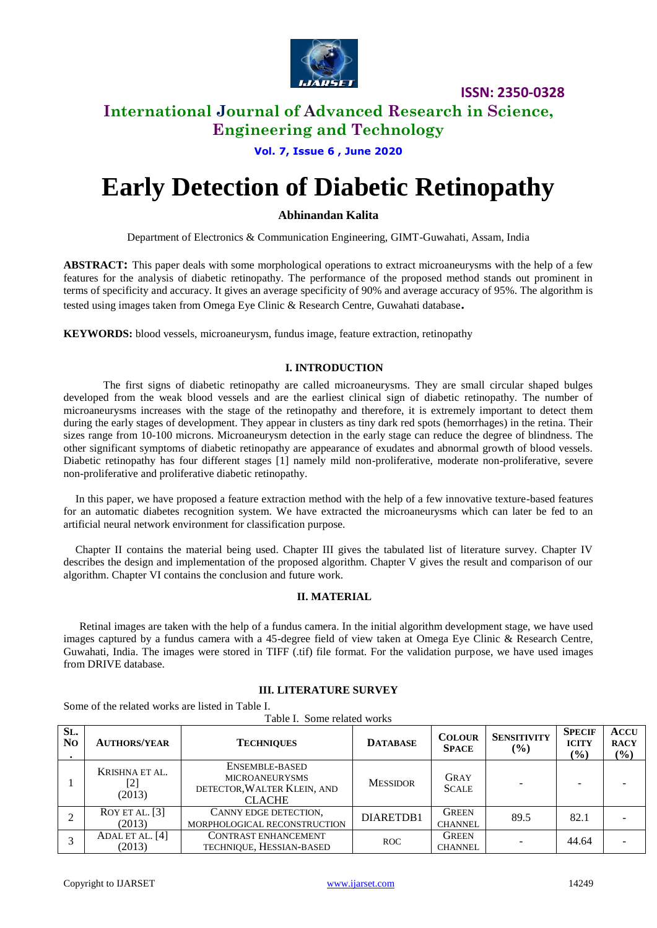

**ISSN: 2350-0328**

### **International Journal of Advanced Research in Science, Engineering and Technology**

### **Vol. 7, Issue 6 , June 2020**

# **Early Detection of Diabetic Retinopathy**

#### **Abhinandan Kalita**

Department of Electronics & Communication Engineering, GIMT-Guwahati, Assam, India

**ABSTRACT:** This paper deals with some morphological operations to extract microaneurysms with the help of a few features for the analysis of diabetic retinopathy. The performance of the proposed method stands out prominent in terms of specificity and accuracy. It gives an average specificity of 90% and average accuracy of 95%. The algorithm is tested using images taken from Omega Eye Clinic & Research Centre, Guwahati database**.**

**KEYWORDS:** blood vessels, microaneurysm, fundus image, feature extraction, retinopathy

#### **I. INTRODUCTION**

The first signs of diabetic retinopathy are called microaneurysms. They are small circular shaped bulges developed from the weak blood vessels and are the earliest clinical sign of diabetic retinopathy. The number of microaneurysms increases with the stage of the retinopathy and therefore, it is extremely important to detect them during the early stages of development. They appear in clusters as tiny dark red spots (hemorrhages) in the retina. Their sizes range from 10-100 microns. Microaneurysm detection in the early stage can reduce the degree of blindness. The other significant symptoms of diabetic retinopathy are appearance of exudates and abnormal growth of blood vessels. Diabetic retinopathy has four different stages [1] namely mild non-proliferative, moderate non-proliferative, severe non-proliferative and proliferative diabetic retinopathy.

In this paper, we have proposed a feature extraction method with the help of a few innovative texture-based features for an automatic diabetes recognition system. We have extracted the microaneurysms which can later be fed to an artificial neural network environment for classification purpose.

Chapter II contains the material being used. Chapter III gives the tabulated list of literature survey. Chapter IV describes the design and implementation of the proposed algorithm. Chapter V gives the result and comparison of our algorithm. Chapter VI contains the conclusion and future work.

#### **II. MATERIAL**

Retinal images are taken with the help of a fundus camera. In the initial algorithm development stage, we have used images captured by a fundus camera with a 45-degree field of view taken at Omega Eye Clinic & Research Centre, Guwahati, India. The images were stored in TIFF (.tif) file format. For the validation purpose, we have used images from DRIVE database.

#### **III. LITERATURE SURVEY**

Some of the related works are listed in Table I.

Table I. Some related works

| SL.<br>N <sub>0</sub> | <b>AUTHORS/YEAR</b>             | <b>TECHNIQUES</b>                                                                       | <b>DATABASE</b> | <b>COLOUR</b><br><b>SPACE</b>  | <b>SENSITIVITY</b><br>$($ %) | <b>SPECIF</b><br><b>ICITY</b><br>$\frac{9}{6}$ | <b>ACCU</b><br><b>RACY</b><br>(%) |
|-----------------------|---------------------------------|-----------------------------------------------------------------------------------------|-----------------|--------------------------------|------------------------------|------------------------------------------------|-----------------------------------|
|                       | KRISHNA ET AL.<br>[2]<br>(2013) | ENSEMBLE-BASED<br><b>MICROANEURYSMS</b><br>DETECTOR, WALTER KLEIN, AND<br><b>CLACHE</b> | <b>MESSIDOR</b> | <b>GRAY</b><br><b>SCALE</b>    |                              |                                                |                                   |
|                       | ROY ET AL. [3]<br>(2013)        | CANNY EDGE DETECTION,<br>MORPHOLOGICAL RECONSTRUCTION                                   | DIARETDB1       | <b>GREEN</b><br><b>CHANNEL</b> | 89.5                         | 82.1                                           |                                   |
|                       | ADAL ET AL. [4]<br>(2013)       | CONTRAST ENHANCEMENT<br>TECHNIQUE, HESSIAN-BASED                                        | <b>ROC</b>      | <b>GREEN</b><br><b>CHANNEL</b> |                              | 44.64                                          |                                   |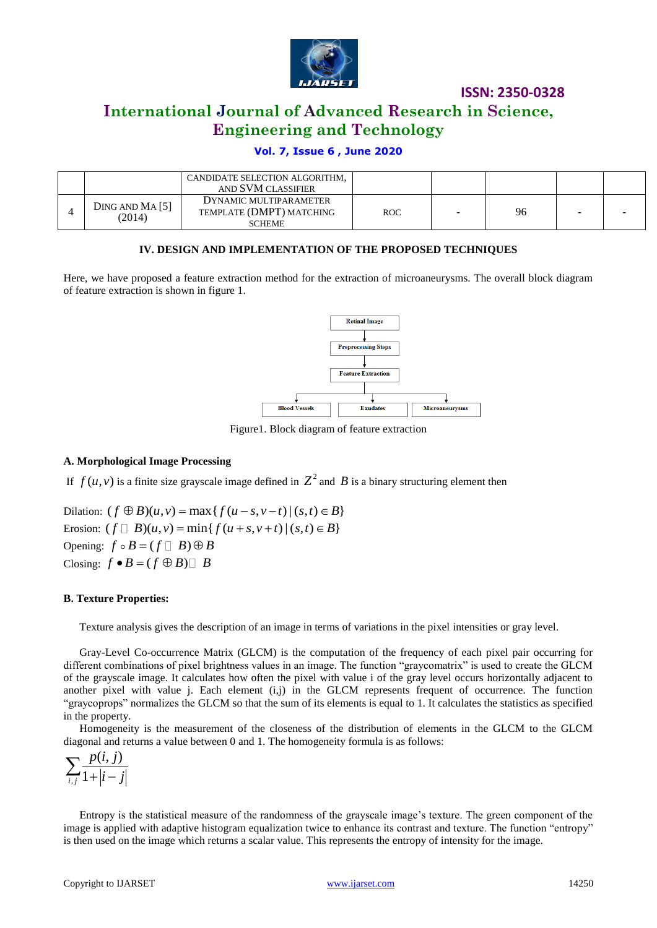

**ISSN: 2350-0328**

### **International Journal of Advanced Research in Science, Engineering and Technology**

#### **Vol. 7, Issue 6 , June 2020**

|                          | CANDIDATE SELECTION ALGORITHM, |            |   |    |                          |
|--------------------------|--------------------------------|------------|---|----|--------------------------|
|                          | AND SVM CLASSIFIER             |            |   |    |                          |
| DING AND MA[5]<br>(2014) | DYNAMIC MULTIPARAMETER         |            |   |    |                          |
|                          | TEMPLATE (DMPT) MATCHING       | <b>ROC</b> | - | 96 | $\overline{\phantom{0}}$ |
|                          | <b>SCHEME</b>                  |            |   |    |                          |

#### **IV. DESIGN AND IMPLEMENTATION OF THE PROPOSED TECHNIQUES**

Here, we have proposed a feature extraction method for the extraction of microaneurysms. The overall block diagram of feature extraction is shown in figure 1.



Figure1. Block diagram of feature extraction

#### **A. Morphological Image Processing**

If  $f(u, v)$  is a finite size grayscale image defined in  $Z^2$  and  $B$  is a binary structuring element then

Dilation:  $(f \oplus B)(u, v) = \max\{f(u-s, v-t) | (s,t) \in B\}$ Erosion:  $(f \Box B)(u, v) = min\{f(u+s, v+t) | (s,t) \in B\}$  $(f \oplus B)(u, v) = \max\{f(u-s, v-t) | (s,t) \in B\}$ <br> $(f \Box B)(u, v) = \min\{f(u+s, v+t) | (s,t) \in B\}$ Opening:  $f \circ B = (f \square B) \oplus B$ Closing:  $f \bullet B = (f \oplus B) \square B$ 

#### **B. Texture Properties:**

Texture analysis gives the description of an image in terms of variations in the pixel intensities or gray level.

Gray-Level Co-occurrence Matrix (GLCM) is the computation of the frequency of each pixel pair occurring for different combinations of pixel brightness values in an image. The function "graycomatrix" is used to create the GLCM of the grayscale image. It calculates how often the pixel with value i of the gray level occurs horizontally adjacent to another pixel with value  $i$ . Each element  $(i, j)$  in the GLCM represents frequent of occurrence. The function "graycoprops" normalizes the GLCM so that the sum of its elements is equal to 1. It calculates the statistics as specified in the property.

Homogeneity is the measurement of the closeness of the distribution of elements in the GLCM to the GLCM diagonal and returns a value between 0 and 1. The homogeneity formula is as follows:

$$
\sum_{i,j} \frac{p(i,j)}{1+|i-j|}
$$

Entropy is the statistical measure of the randomness of the grayscale image's texture. The green component of the image is applied with adaptive histogram equalization twice to enhance its contrast and texture. The function "entropy" is then used on the image which returns a scalar value. This represents the entropy of intensity for the image.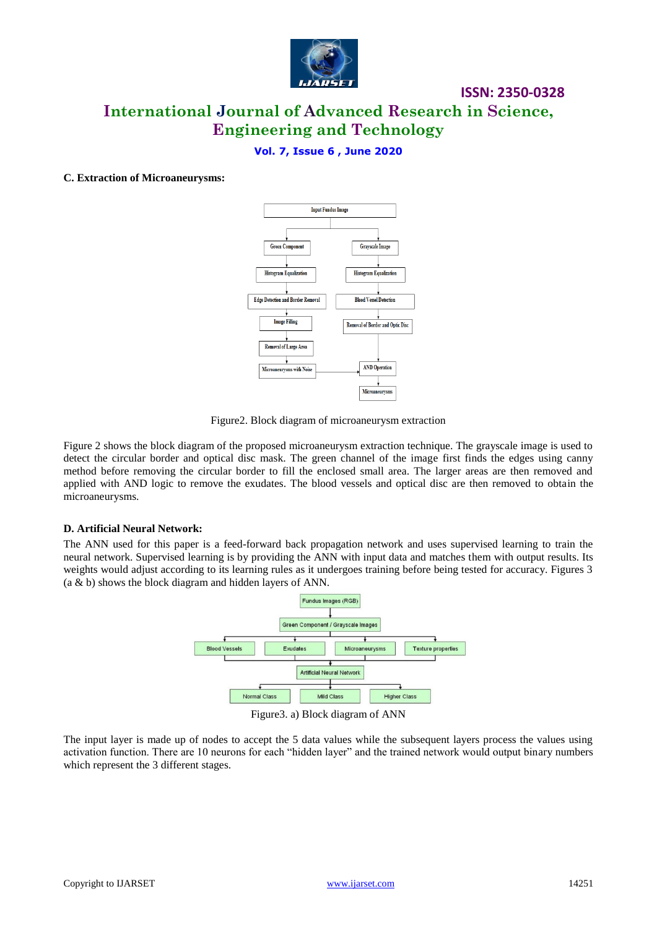

**ISSN: 2350-0328**

#### **Vol. 7, Issue 6 , June 2020**

#### **C. Extraction of Microaneurysms:**



Figure2. Block diagram of microaneurysm extraction

Figure 2 shows the block diagram of the proposed microaneurysm extraction technique. The grayscale image is used to detect the circular border and optical disc mask. The green channel of the image first finds the edges using canny method before removing the circular border to fill the enclosed small area. The larger areas are then removed and applied with AND logic to remove the exudates. The blood vessels and optical disc are then removed to obtain the microaneurysms.

#### **D. Artificial Neural Network:**

The ANN used for this paper is a feed-forward back propagation network and uses supervised learning to train the neural network. Supervised learning is by providing the ANN with input data and matches them with output results. Its weights would adjust according to its learning rules as it undergoes training before being tested for accuracy. Figures 3 (a & b) shows the block diagram and hidden layers of ANN.



Figure3. a) Block diagram of ANN

The input layer is made up of nodes to accept the 5 data values while the subsequent layers process the values using activation function. There are 10 neurons for each "hidden layer" and the trained network would output binary numbers which represent the 3 different stages.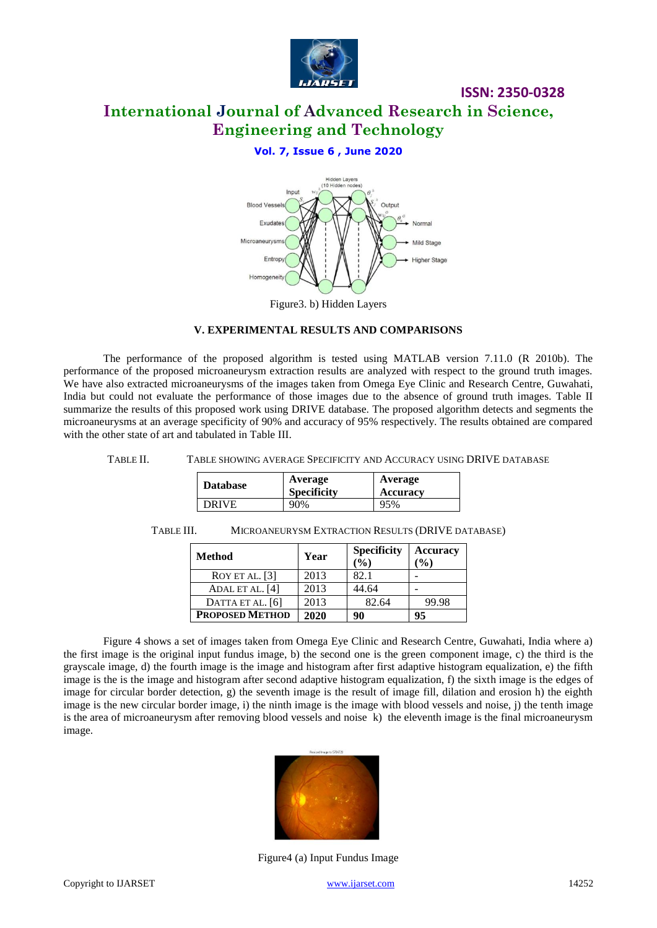

**ISSN: 2350-0328**

#### **Vol. 7, Issue 6 , June 2020**



**V. EXPERIMENTAL RESULTS AND COMPARISONS**

The performance of the proposed algorithm is tested using MATLAB version 7.11.0 (R 2010b). The performance of the proposed microaneurysm extraction results are analyzed with respect to the ground truth images. We have also extracted microaneurysms of the images taken from Omega Eye Clinic and Research Centre, Guwahati, India but could not evaluate the performance of those images due to the absence of ground truth images. Table II summarize the results of this proposed work using DRIVE database. The proposed algorithm detects and segments the microaneurysms at an average specificity of 90% and accuracy of 95% respectively. The results obtained are compared with the other state of art and tabulated in Table III.

#### TABLE II. TABLE SHOWING AVERAGE SPECIFICITY AND ACCURACY USING DRIVE DATABASE

| <b>Database</b> | Average<br><b>Specificity</b> | Average<br>Accuracy |
|-----------------|-------------------------------|---------------------|
| <b>DRIVE</b>    | 90%                           | 95%                 |

| <b>Method</b>          | Year | <b>Specificity</b><br>$\frac{6}{6}$ | <b>Accuracy</b><br>$\mathcal{O}_0$ |
|------------------------|------|-------------------------------------|------------------------------------|
| ROY ET AL. [3]         | 2013 | 82.1                                |                                    |
| ADAL ET AL. [4]        | 2013 | 44.64                               |                                    |
| DATTA ET AL. [6]       | 2013 | 82.64                               | 99.98                              |
| <b>PROPOSED METHOD</b> | 2020 | 90                                  | 95                                 |

#### TABLE III. MICROANEURYSM EXTRACTION RESULTS (DRIVE DATABASE)

Figure 4 shows a set of images taken from Omega Eye Clinic and Research Centre, Guwahati, India where a) the first image is the original input fundus image, b) the second one is the green component image, c) the third is the grayscale image, d) the fourth image is the image and histogram after first adaptive histogram equalization, e) the fifth image is the is the image and histogram after second adaptive histogram equalization, f) the sixth image is the edges of image for circular border detection, g) the seventh image is the result of image fill, dilation and erosion h) the eighth image is the new circular border image, i) the ninth image is the image with blood vessels and noise, j) the tenth image is the area of microaneurysm after removing blood vessels and noise k) the eleventh image is the final microaneurysm image.



Figure4 (a) Input Fundus Image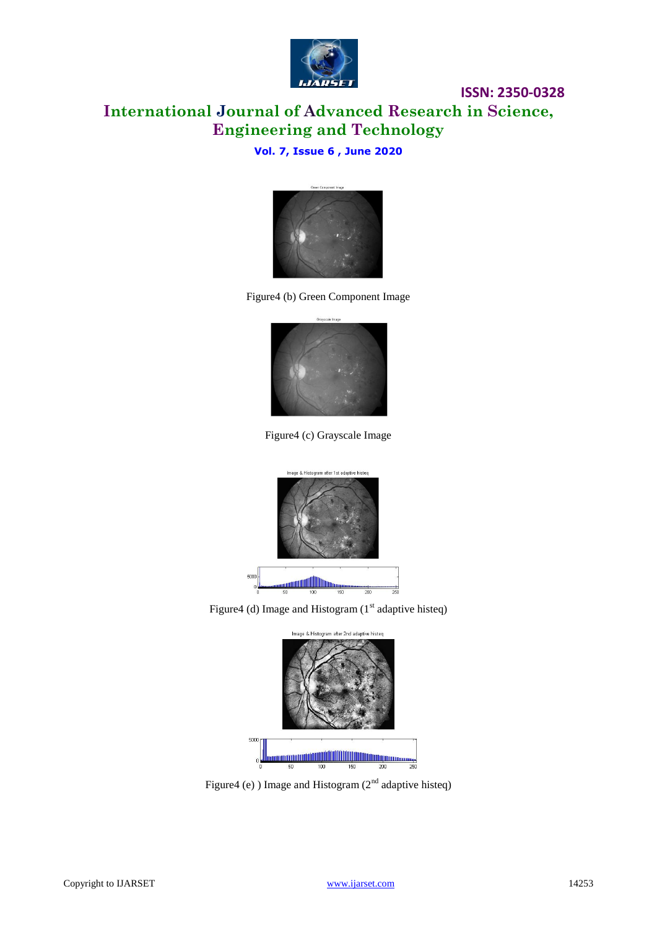

**ISSN: 2350-0328**

### **Vol. 7, Issue 6 , June 2020**



Figure4 (b) Green Component Image



Figure4 (c) Grayscale Image



Figure4 (d) Image and Histogram  $(1<sup>st</sup>$  adaptive histeg)



Figure4 (e) ) Image and Histogram  $(2<sup>nd</sup>$  adaptive histeq)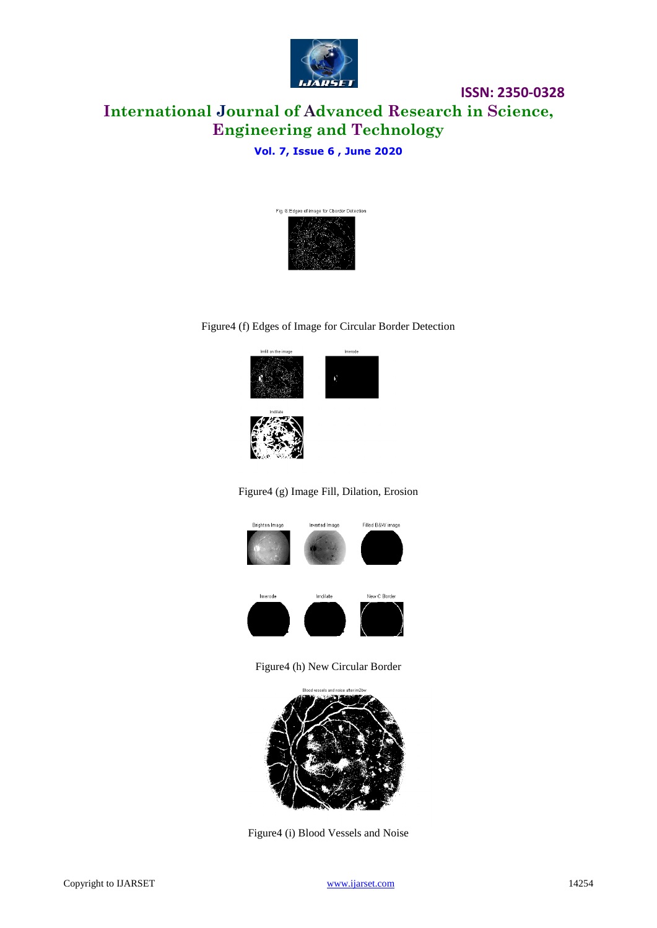

**ISSN: 2350-0328**

### **Vol. 7, Issue 6 , June 2020**



#### Figure4 (f) Edges of Image for Circular Border Detection









Figure4 (h) New Circular Border



Figure4 (i) Blood Vessels and Noise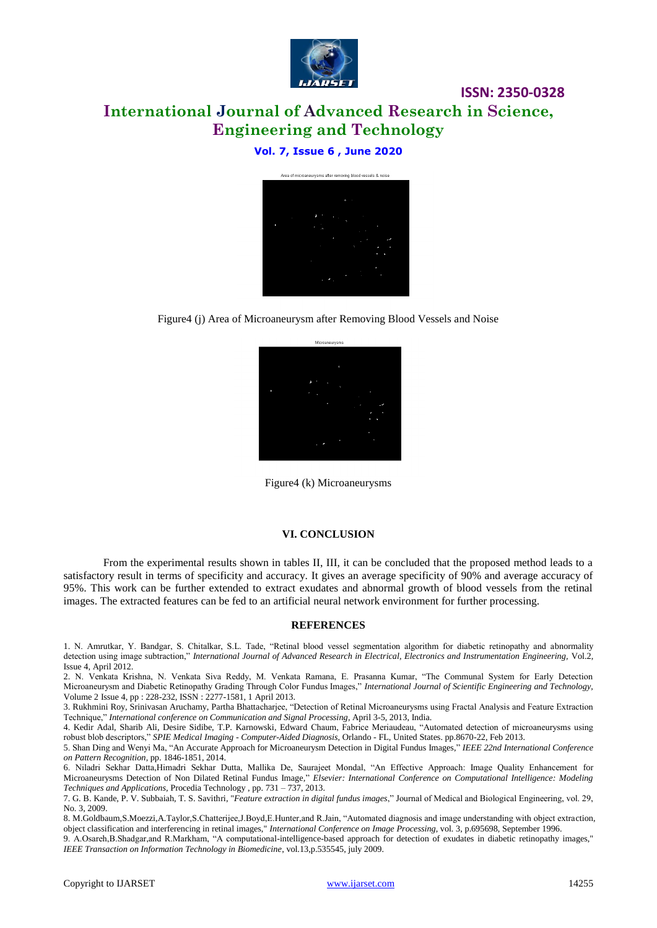

**ISSN: 2350-0328**

#### **Vol. 7, Issue 6 , June 2020**



Figure4 (j) Area of Microaneurysm after Removing Blood Vessels and Noise



Figure4 (k) Microaneurysms

#### **VI. CONCLUSION**

From the experimental results shown in tables II, III, it can be concluded that the proposed method leads to a satisfactory result in terms of specificity and accuracy. It gives an average specificity of 90% and average accuracy of 95%. This work can be further extended to extract exudates and abnormal growth of blood vessels from the retinal images. The extracted features can be fed to an artificial neural network environment for further processing.

#### **REFERENCES**

1. N. Amrutkar, Y. Bandgar, S. Chitalkar, S.L. Tade, "Retinal blood vessel segmentation algorithm for diabetic retinopathy and abnormality detection using image subtraction," *International Journal of Advanced Research in Electrical, Electronics and Instrumentation Engineering,* Vol.2, Issue 4, April 2012.

2. N. Venkata Krishna, N. Venkata Siva Reddy, M. Venkata Ramana, E. Prasanna Kumar, "The Communal System for Early Detection Microaneurysm and Diabetic Retinopathy Grading Through Color Fundus Images," *International Journal of Scientific Engineering and Technology,*  Volume 2 Issue 4, pp : 228-232, ISSN : 2277-1581, 1 April 2013.

3. Rukhmini Roy, Srinivasan Aruchamy, Partha Bhattacharjee, "Detection of Retinal Microaneurysms using Fractal Analysis and Feature Extraction Technique," *International conference on Communication and Signal Processing*, April 3-5, 2013, India.

4. Kedir Adal, Sharib Ali, Desire Sidibe, T.P. Karnowski, Edward Chaum, Fabrice Meriaudeau, "Automated detection of microaneurysms using robust blob descriptors," *SPIE Medical Imaging - Computer-Aided Diagnosis*, Orlando - FL, United States. pp.8670-22, Feb 2013.

5. Shan Ding and Wenyi Ma, "An Accurate Approach for Microaneurysm Detection in Digital Fundus Images," *IEEE 22nd International Conference on Pattern Recognition*, pp. 1846-1851, 2014.

6. Niladri Sekhar Datta,Himadri Sekhar Dutta, Mallika De, Saurajeet Mondal, "An Effective Approach: Image Quality Enhancement for Microaneurysms Detection of Non Dilated Retinal Fundus Image*,*" *Elsevier: International Conference on Computational Intelligence: Modeling Techniques and Applications,* Procedia Technology , pp. 731 – 737, 2013.

7. G. B. Kande, P. V. Subbaiah, T. S. Savithri, "*Feature extraction in digital fundus images*," Journal of Medical and Biological Engineering, vol. 29, No. 3, 2009.

8. M.Goldbaum,S.Moezzi,A.Taylor,S.Chatterijee,J.Boyd,E.Hunter,and R.Jain, "Automated diagnosis and image understanding with object extraction, object classification and interferencing in retinal images," *International Conference on Image Processing*, vol. 3, p.695698, September 1996.

9. A.Osareh,B.Shadgar,and R.Markham, "A computational-intelligence-based approach for detection of exudates in diabetic retinopathy images," *IEEE Transaction on Information Technology in Biomedicine*, vol.13,p.535545, july 2009.